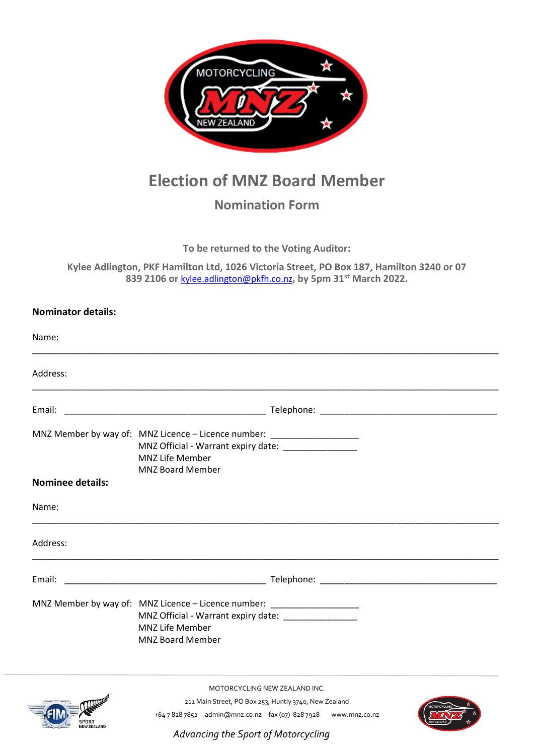

## **Election of MNZ Board Member**

## **Nomination Form**

**To be returned to the Voting Auditor:**

**Kylee Adlington, PKF Hamilton Ltd, 1026 Victoria Street, PO Box 187, Hamilton 3240 or 07 839 2106 or** [kylee.adlington@pkfh.co.nz](mailto:kylee.adlington@pkfh.co.nz)**, by 5pm 31st March 2022.**

## **Nominator details:**

| Name:                   |                                                                                                                                                                                     |  |
|-------------------------|-------------------------------------------------------------------------------------------------------------------------------------------------------------------------------------|--|
| Address:                |                                                                                                                                                                                     |  |
|                         |                                                                                                                                                                                     |  |
|                         | MNZ Member by way of: MNZ Licence - Licence number: ___________________<br>MNZ Official - Warrant expiry date: _______________<br><b>MNZ Life Member</b><br><b>MNZ Board Member</b> |  |
| <b>Nominee details:</b> |                                                                                                                                                                                     |  |
| Name:                   |                                                                                                                                                                                     |  |
| Address:                |                                                                                                                                                                                     |  |
| Email:                  |                                                                                                                                                                                     |  |
|                         | MNZ Member by way of: MNZ Licence - Licence number: ____________________<br>MNZ Official - Warrant expiry date:<br>MNZ Life Member<br><b>MNZ Board Member</b>                       |  |
|                         | MOTORCYCLING NEW ZEALAND INC.                                                                                                                                                       |  |
| <b>CONTROL</b>          | 211 Main Street, PO Box 253, Huntly 3740, New Zealand                                                                                                                               |  |

SPORT<br>NEW ZEALAND

+64 7 828 7852 admin@mnz.co.nz fax (07) 828 7928 www.mnz.co.nz

*Advancing the Sport of Motorcycling*